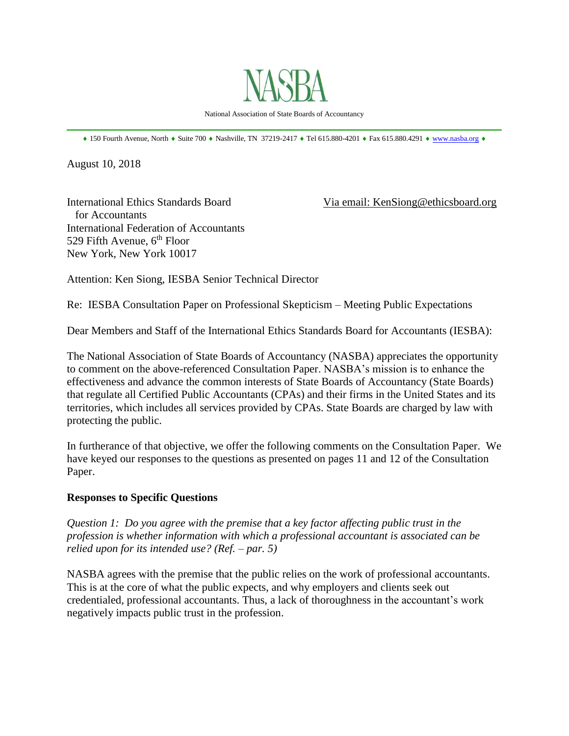

National Association of State Boards of Accountancy \_\_\_\_\_\_\_\_\_\_\_\_\_\_\_\_\_\_\_\_\_\_\_\_\_\_\_\_\_\_\_\_\_\_\_\_\_\_\_\_\_\_\_\_\_\_\_\_\_\_\_\_\_\_\_\_\_\_\_\_\_\_\_\_\_\_\_\_\_\_\_\_\_\_\_\_\_\_

 $*$  150 Fourth Avenue, North  $*$  Suite 700  $*$  Nashville, TN 37219-2417  $*$  Tel 615.880-4201  $*$  Fax 615.880.4291  $*$  [www.nasba.org](http://www.nasba.org/)  $*$ 

August 10, 2018

International Ethics Standards Board Via email: KenSiong@ethicsboard.org for Accountants International Federation of Accountants 529 Fifth Avenue,  $6<sup>th</sup>$  Floor New York, New York 10017

Attention: Ken Siong, IESBA Senior Technical Director

Re: IESBA Consultation Paper on Professional Skepticism – Meeting Public Expectations

Dear Members and Staff of the International Ethics Standards Board for Accountants (IESBA):

The National Association of State Boards of Accountancy (NASBA) appreciates the opportunity to comment on the above-referenced Consultation Paper. NASBA's mission is to enhance the effectiveness and advance the common interests of State Boards of Accountancy (State Boards) that regulate all Certified Public Accountants (CPAs) and their firms in the United States and its territories, which includes all services provided by CPAs. State Boards are charged by law with protecting the public.

In furtherance of that objective, we offer the following comments on the Consultation Paper. We have keyed our responses to the questions as presented on pages 11 and 12 of the Consultation Paper.

## **Responses to Specific Questions**

*Question 1: Do you agree with the premise that a key factor affecting public trust in the profession is whether information with which a professional accountant is associated can be relied upon for its intended use? (Ref. – par. 5)*

NASBA agrees with the premise that the public relies on the work of professional accountants. This is at the core of what the public expects, and why employers and clients seek out credentialed, professional accountants. Thus, a lack of thoroughness in the accountant's work negatively impacts public trust in the profession.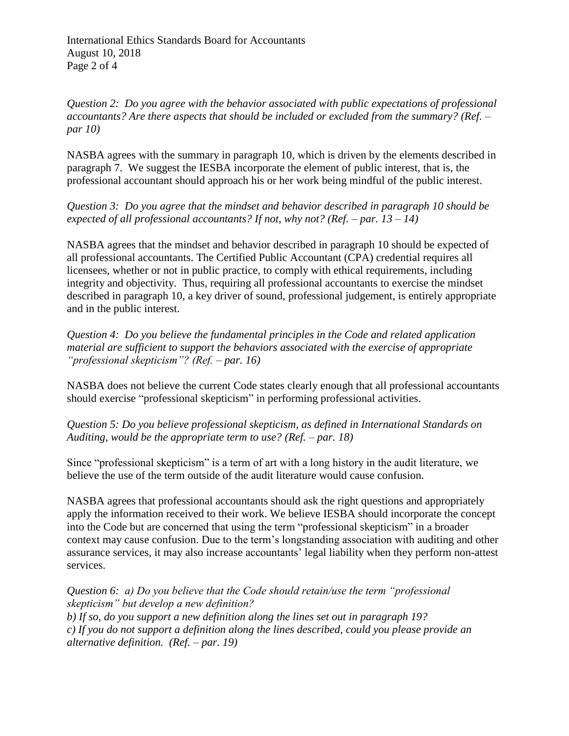*Question 2: Do you agree with the behavior associated with public expectations of professional accountants? Are there aspects that should be included or excluded from the summary? (Ref. – par 10)* 

NASBA agrees with the summary in paragraph 10, which is driven by the elements described in paragraph 7. We suggest the IESBA incorporate the element of public interest, that is, the professional accountant should approach his or her work being mindful of the public interest.

*Question 3: Do you agree that the mindset and behavior described in paragraph 10 should be expected of all professional accountants? If not, why not? (Ref. – par. 13 – 14)* 

NASBA agrees that the mindset and behavior described in paragraph 10 should be expected of all professional accountants. The Certified Public Accountant (CPA) credential requires all licensees, whether or not in public practice, to comply with ethical requirements, including integrity and objectivity. Thus, requiring all professional accountants to exercise the mindset described in paragraph 10, a key driver of sound, professional judgement, is entirely appropriate and in the public interest.

*Question 4: Do you believe the fundamental principles in the Code and related application material are sufficient to support the behaviors associated with the exercise of appropriate "professional skepticism"? (Ref. – par. 16)* 

NASBA does not believe the current Code states clearly enough that all professional accountants should exercise "professional skepticism" in performing professional activities.

*Question 5: Do you believe professional skepticism, as defined in International Standards on Auditing, would be the appropriate term to use? (Ref. – par. 18)* 

Since "professional skepticism" is a term of art with a long history in the audit literature, we believe the use of the term outside of the audit literature would cause confusion.

NASBA agrees that professional accountants should ask the right questions and appropriately apply the information received to their work. We believe IESBA should incorporate the concept into the Code but are concerned that using the term "professional skepticism" in a broader context may cause confusion. Due to the term's longstanding association with auditing and other assurance services, it may also increase accountants' legal liability when they perform non-attest services.

*Question 6: a) Do you believe that the Code should retain/use the term "professional skepticism" but develop a new definition? b) If so, do you support a new definition along the lines set out in paragraph 19? c) If you do not support a definition along the lines described, could you please provide an alternative definition. (Ref. – par. 19)*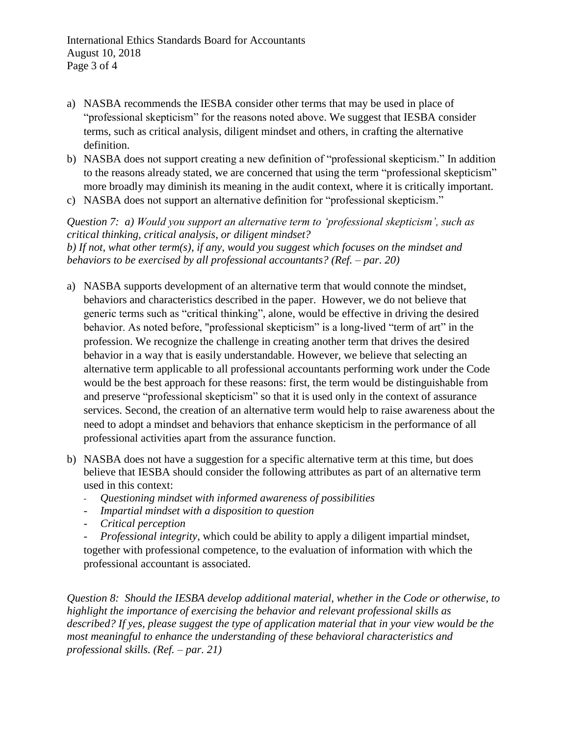- a) NASBA recommends the IESBA consider other terms that may be used in place of "professional skepticism" for the reasons noted above. We suggest that IESBA consider terms, such as critical analysis, diligent mindset and others, in crafting the alternative definition.
- b) NASBA does not support creating a new definition of "professional skepticism." In addition to the reasons already stated, we are concerned that using the term "professional skepticism" more broadly may diminish its meaning in the audit context, where it is critically important.
- c) NASBA does not support an alternative definition for "professional skepticism."

*Question 7: a) Would you support an alternative term to 'professional skepticism', such as critical thinking, critical analysis, or diligent mindset? b) If not, what other term(s), if any, would you suggest which focuses on the mindset and behaviors to be exercised by all professional accountants? (Ref. – par. 20)* 

- a) NASBA supports development of an alternative term that would connote the mindset, behaviors and characteristics described in the paper. However, we do not believe that generic terms such as "critical thinking", alone, would be effective in driving the desired behavior. As noted before, "professional skepticism" is a long-lived "term of art" in the profession. We recognize the challenge in creating another term that drives the desired behavior in a way that is easily understandable. However, we believe that selecting an alternative term applicable to all professional accountants performing work under the Code would be the best approach for these reasons: first, the term would be distinguishable from and preserve "professional skepticism" so that it is used only in the context of assurance services. Second, the creation of an alternative term would help to raise awareness about the need to adopt a mindset and behaviors that enhance skepticism in the performance of all professional activities apart from the assurance function.
- b) NASBA does not have a suggestion for a specific alternative term at this time, but does believe that IESBA should consider the following attributes as part of an alternative term used in this context:
	- *Questioning mindset with informed awareness of possibilities*
	- *- Impartial mindset with a disposition to question*
	- *- Critical perception*

*- Professional integrity,* which could be ability to apply a diligent impartial mindset, together with professional competence, to the evaluation of information with which the professional accountant is associated.

*Question 8: Should the IESBA develop additional material, whether in the Code or otherwise, to highlight the importance of exercising the behavior and relevant professional skills as described? If yes, please suggest the type of application material that in your view would be the most meaningful to enhance the understanding of these behavioral characteristics and professional skills. (Ref. – par. 21)*